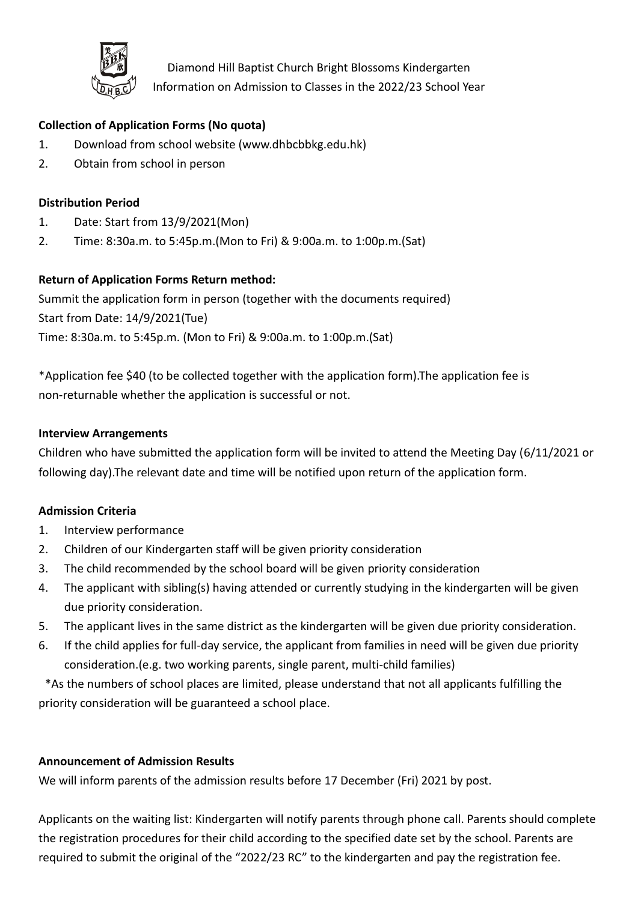

Diamond Hill Baptist Church Bright Blossoms Kindergarten Information on Admission to Classes in the 2022/23 School Year

# **Collection of Application Forms (No quota)**

- 1. Download from school website (www.dhbcbbkg.edu.hk)
- 2. Obtain from school in person

## **Distribution Period**

- 1. Date: Start from 13/9/2021(Mon)
- 2. Time: 8:30a.m. to 5:45p.m.(Mon to Fri) & 9:00a.m. to 1:00p.m.(Sat)

### **Return of Application Forms Return method:**

Summit the application form in person (together with the documents required) Start from Date: 14/9/2021(Tue) Time: 8:30a.m. to 5:45p.m. (Mon to Fri) & 9:00a.m. to 1:00p.m.(Sat)

\*Application fee \$40 (to be collected together with the application form).The application fee is non-returnable whether the application is successful or not.

#### **Interview Arrangements**

Children who have submitted the application form will be invited to attend the Meeting Day (6/11/2021 or following day).The relevant date and time will be notified upon return of the application form.

#### **Admission Criteria**

- 1. Interview performance
- 2. Children of our Kindergarten staff will be given priority consideration
- 3. The child recommended by the school board will be given priority consideration
- 4. The applicant with sibling(s) having attended or currently studying in the kindergarten will be given due priority consideration.
- 5. The applicant lives in the same district as the kindergarten will be given due priority consideration.
- 6. If the child applies for full-day service, the applicant from families in need will be given due priority consideration.(e.g. two working parents, single parent, multi-child families)

\*As the numbers of school places are limited, please understand that not all applicants fulfilling the priority consideration will be guaranteed a school place.

#### **Announcement of Admission Results**

We will inform parents of the admission results before 17 December (Fri) 2021 by post.

Applicants on the waiting list: Kindergarten will notify parents through phone call. Parents should complete the registration procedures for their child according to the specified date set by the school. Parents are required to submit the original of the "2022/23 RC" to the kindergarten and pay the registration fee.